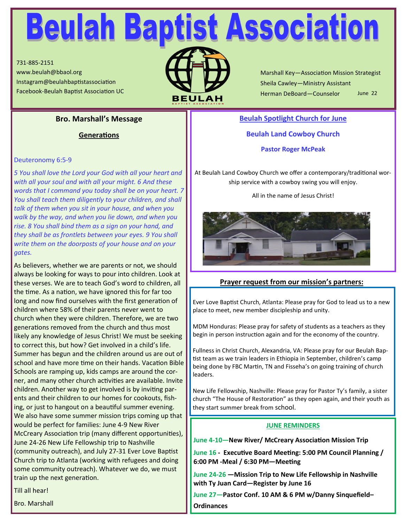# **Beulah Baptist Association**

731-885-2151 www.beulah@bbaol.org Instagram@beulahbaptistassociation



Marshall Key—Association Mission Strategist Sheila Cawley—Ministry Assistant Herman DeBoard—Counselor Facebook-Beulah Baptist Association UC **BEULAH** Herman DeBoard—Counselor June 22

# **Bro. Marshall's Message**

**Generations**

#### Deuteronomy 6:5-9

*5 You shall love the Lord your God with all your heart and with all your soul and with all your might. 6 And these words that I command you today shall be on your heart. 7 You shall teach them diligently to your children, and shall talk of them when you sit in your house, and when you walk by the way, and when you lie down, and when you rise. 8 You shall bind them as a sign on your hand, and they shall be as frontlets between your eyes. 9 You shall write them on the doorposts of your house and on your gates.*

As believers, whether we are parents or not, we should always be looking for ways to pour into children. Look at these verses. We are to teach God's word to children, all the time. As a nation, we have ignored this for far too long and now find ourselves with the first generation of children where 58% of their parents never went to church when they were children. Therefore, we are two generations removed from the church and thus most likely any knowledge of Jesus Christ! We must be seeking to correct this, but how? Get involved in a child's life. Summer has begun and the children around us are out of school and have more time on their hands. Vacation Bible Schools are ramping up, kids camps are around the corner, and many other church activities are available. Invite children. Another way to get involved is by inviting parents and their children to our homes for cookouts, fishing, or just to hangout on a beautiful summer evening. We also have some summer mission trips coming up that would be perfect for families: June 4-9 New River McCreary Association trip (many different opportunities), June 24-26 New Life Fellowship trip to Nashville (community outreach), and July 27-31 Ever Love Baptist Church trip to Atlanta (working with refugees and doing some community outreach). Whatever we do, we must train up the next generation.

Till all hear!

Bro. Marshall

# **Beulah Spotlight Church for June**

# **Beulah Land Cowboy Church**

#### **Pastor Roger McPeak**

At Beulah Land Cowboy Church we offer a contemporary/traditional worship service with a cowboy swing you will enjoy.

All in the name of Jesus Christ!



# **Prayer request from our mission's partners:**

Ever Love Baptist Church, Atlanta: Please pray for God to lead us to a new place to meet, new member discipleship and unity.

MDM Honduras: Please pray for safety of students as a teachers as they begin in person instruction again and for the economy of the country.

Fullness in Christ Church, Alexandria, VA: Please pray for our Beulah Baptist team as we train leaders in Ethiopia in September, children's camp being done by FBC Martin, TN and Fisseha's on going training of church leaders.

New Life Fellowship, Nashville: Please pray for Pastor Ty's family, a sister church "The House of Restoration" as they open again, and their youth as they start summer break from school.

#### **JUNE REMINDERS**

**June 4-10—New River/ McCreary Association Mission Trip**

**June 16 - Executive Board Meeting: 5:00 PM Council Planning / 6:00 PM -Meal / 6:30 PM—Meeting**

**June 24-26 —Mission Trip to New Life Fellowship in Nashville with Ty Juan Card—Register by June 16**

**June 27—Pastor Conf. 10 AM & 6 PM w/Danny Sinquefield– Ordinances**